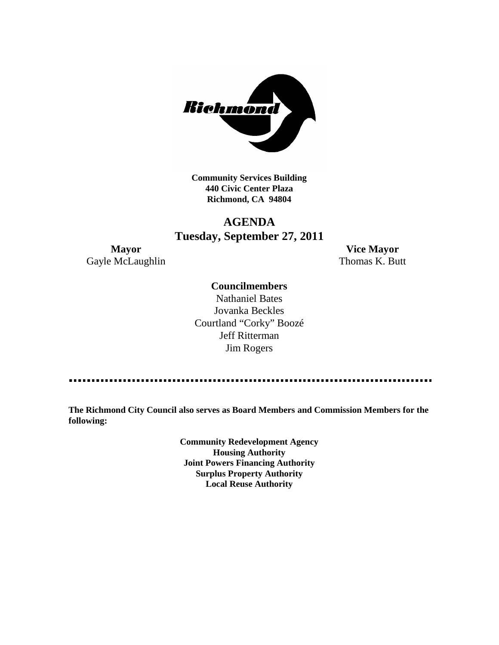

**Community Services Building 440 Civic Center Plaza Richmond, CA 94804**

# **AGENDA Tuesday, September 27, 2011**

Gayle McLaughlin Thomas K. Butt

**Mayor Vice Mayor**

# **Councilmembers**

Nathaniel Bates Jovanka Beckles Courtland "Corky" Boozé Jeff Ritterman Jim Rogers

**The Richmond City Council also serves as Board Members and Commission Members for the following:**

> **Community Redevelopment Agency Housing Authority Joint Powers Financing Authority Surplus Property Authority Local Reuse Authority**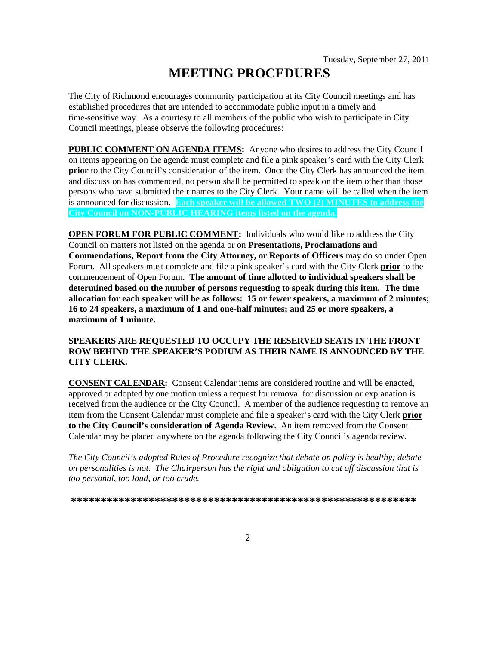# **MEETING PROCEDURES**

The City of Richmond encourages community participation at its City Council meetings and has established procedures that are intended to accommodate public input in a timely and time-sensitive way. As a courtesy to all members of the public who wish to participate in City Council meetings, please observe the following procedures:

**PUBLIC COMMENT ON AGENDA ITEMS:** Anyone who desires to address the City Council on items appearing on the agenda must complete and file a pink speaker's card with the City Clerk **prior** to the City Council's consideration of the item. Once the City Clerk has announced the item and discussion has commenced, no person shall be permitted to speak on the item other than those persons who have submitted their names to the City Clerk. Your name will be called when the item is announced for discussion. **Each speaker will be allowed TWO (2) MINUTES to address the City Council on NON-PUBLIC HEARING items listed on the agenda.**

**OPEN FORUM FOR PUBLIC COMMENT:** Individuals who would like to address the City Council on matters not listed on the agenda or on **Presentations, Proclamations and Commendations, Report from the City Attorney, or Reports of Officers** may do so under Open Forum. All speakers must complete and file a pink speaker's card with the City Clerk **prior** to the commencement of Open Forum. **The amount of time allotted to individual speakers shall be determined based on the number of persons requesting to speak during this item. The time allocation for each speaker will be as follows: 15 or fewer speakers, a maximum of 2 minutes; 16 to 24 speakers, a maximum of 1 and one-half minutes; and 25 or more speakers, a maximum of 1 minute.**

# **SPEAKERS ARE REQUESTED TO OCCUPY THE RESERVED SEATS IN THE FRONT ROW BEHIND THE SPEAKER'S PODIUM AS THEIR NAME IS ANNOUNCED BY THE CITY CLERK.**

**CONSENT CALENDAR:** Consent Calendar items are considered routine and will be enacted, approved or adopted by one motion unless a request for removal for discussion or explanation is received from the audience or the City Council. A member of the audience requesting to remove an item from the Consent Calendar must complete and file a speaker's card with the City Clerk **prior to the City Council's consideration of Agenda Review.** An item removed from the Consent Calendar may be placed anywhere on the agenda following the City Council's agenda review.

*The City Council's adopted Rules of Procedure recognize that debate on policy is healthy; debate on personalities is not. The Chairperson has the right and obligation to cut off discussion that is too personal, too loud, or too crude.*

**\*\*\*\*\*\*\*\*\*\*\*\*\*\*\*\*\*\*\*\*\*\*\*\*\*\*\*\*\*\*\*\*\*\*\*\*\*\*\*\*\*\*\*\*\*\*\*\*\*\*\*\*\*\*\*\*\*\***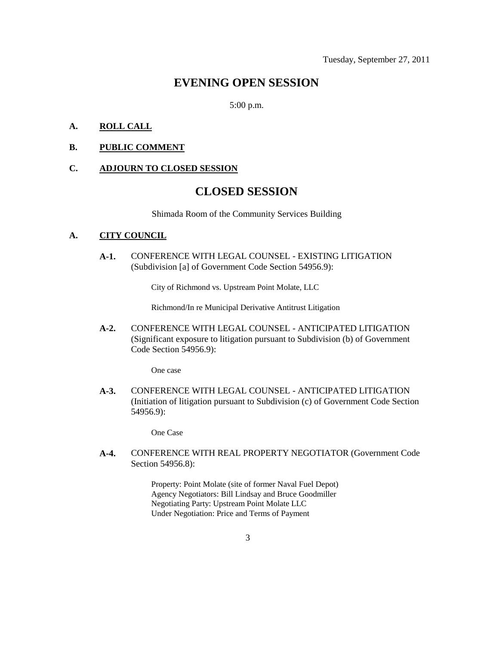# **EVENING OPEN SESSION**

5:00 p.m.

# **A. ROLL CALL**

### **B. PUBLIC COMMENT**

#### **C. ADJOURN TO CLOSED SESSION**

# **CLOSED SESSION**

Shimada Room of the Community Services Building

#### **A. CITY COUNCIL**

**A-1.** CONFERENCE WITH LEGAL COUNSEL - EXISTING LITIGATION (Subdivision [a] of Government Code Section 54956.9):

City of Richmond vs. Upstream Point Molate, LLC

Richmond/In re Municipal Derivative Antitrust Litigation

**A-2.** CONFERENCE WITH LEGAL COUNSEL - ANTICIPATED LITIGATION (Significant exposure to litigation pursuant to Subdivision (b) of Government Code Section 54956.9):

One case

**A-3.** CONFERENCE WITH LEGAL COUNSEL - ANTICIPATED LITIGATION (Initiation of litigation pursuant to Subdivision (c) of Government Code Section 54956.9):

One Case

**A-4.** CONFERENCE WITH REAL PROPERTY NEGOTIATOR (Government Code Section 54956.8):

> Property: Point Molate (site of former Naval Fuel Depot) Agency Negotiators: Bill Lindsay and Bruce Goodmiller Negotiating Party: Upstream Point Molate LLC Under Negotiation: Price and Terms of Payment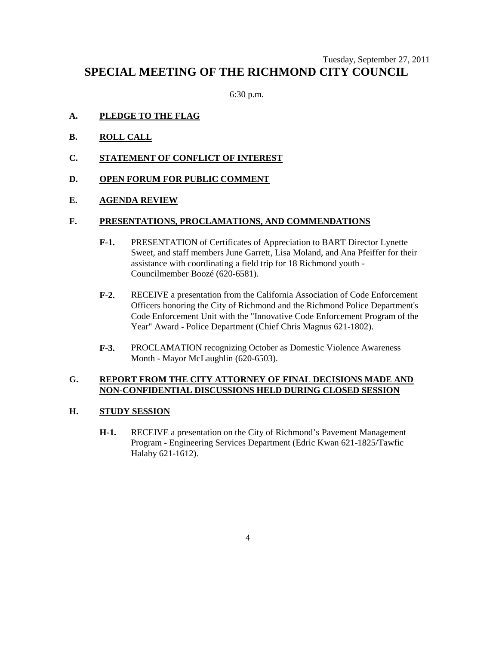# Tuesday, September 27, 2011 **SPECIAL MEETING OF THE RICHMOND CITY COUNCIL**

6:30 p.m.

# **A. PLEDGE TO THE FLAG**

- **B. ROLL CALL**
- **C. STATEMENT OF CONFLICT OF INTEREST**
- **D. OPEN FORUM FOR PUBLIC COMMENT**

# **E. AGENDA REVIEW**

#### **F. PRESENTATIONS, PROCLAMATIONS, AND COMMENDATIONS**

- **F-1.** PRESENTATION of Certificates of Appreciation to BART Director Lynette Sweet, and staff members June Garrett, Lisa Moland, and Ana Pfeiffer for their assistance with coordinating a field trip for 18 Richmond youth - Councilmember Boozé (620-6581).
- **F-2.** RECEIVE a presentation from the California Association of Code Enforcement Officers honoring the City of Richmond and the Richmond Police Department's Code Enforcement Unit with the "Innovative Code Enforcement Program of the Year" Award - Police Department (Chief Chris Magnus 621-1802).
- **F-3.** PROCLAMATION recognizing October as Domestic Violence Awareness Month - Mayor McLaughlin (620-6503).

# **G. REPORT FROM THE CITY ATTORNEY OF FINAL DECISIONS MADE AND NON-CONFIDENTIAL DISCUSSIONS HELD DURING CLOSED SESSION**

# **H. STUDY SESSION**

**H-1.** RECEIVE a presentation on the City of Richmond's Pavement Management Program - Engineering Services Department (Edric Kwan 621-1825/Tawfic Halaby 621-1612).